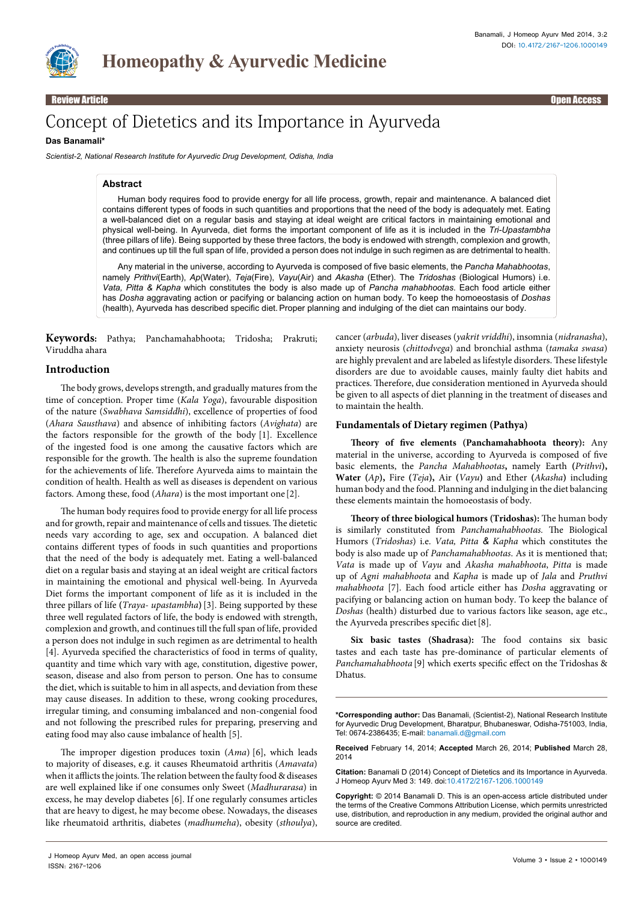

Review Article Open Access

# Concept of Dietetics and its Importance in Ayurveda

## **Das Banamali\***

*Scientist-2, National Research Institute for Ayurvedic Drug Development, Odisha, India*

## **Abstract**

Human body requires food to provide energy for all life process, growth, repair and maintenance. A balanced diet contains different types of foods in such quantities and proportions that the need of the body is adequately met. Eating a well-balanced diet on a regular basis and staying at ideal weight are critical factors in maintaining emotional and physical well-being. In Ayurveda, diet forms the important component of life as it is included in the *Tri-Upastambha*  (three pillars of life). Being supported by these three factors, the body is endowed with strength, complexion and growth, and continues up till the full span of life, provided a person does not indulge in such regimen as are detrimental to health.

Any material in the universe, according to Ayurveda is composed of five basic elements, the *Pancha Mahabhootas*, namely *Prithvi*(Earth), *Ap*(Water), *Teja*(Fire), *Vayu*(Air) and *Akasha* (Ether). The *Tridoshas* (Biological Humors) i.e. *Vata, Pitta & Kapha* which constitutes the body is also made up of *Pancha mahabhootas*. Each food article either has *Dosha* aggravating action or pacifying or balancing action on human body. To keep the homoeostasis of *Doshas*  (health), Ayurveda has described specific diet.Proper planning and indulging of the diet can maintains our body.

**Keywords:** Pathya; Panchamahabhoota; Tridosha; Prakruti; Viruddha ahara

# **Introduction**

The body grows, develops strength, and gradually matures from the time of conception. Proper time (*Kala Yoga*), favourable disposition of the nature (*Swabhava Samsiddhi*), excellence of properties of food (*Ahara Sausthava*) and absence of inhibiting factors (*Avighata*) are the factors responsible for the growth of the body [1]. Excellence of the ingested food is one among the causative factors which are responsible for the growth. The health is also the supreme foundation for the achievements of life. Therefore Ayurveda aims to maintain the condition of health. Health as well as diseases is dependent on various factors. Among these, food (*Ahara*) is the most important one [2].

The human body requires food to provide energy for all life process and for growth, repair and maintenance of cells and tissues. The dietetic needs vary according to age, sex and occupation. A balanced diet contains different types of foods in such quantities and proportions that the need of the body is adequately met. Eating a well-balanced diet on a regular basis and staying at an ideal weight are critical factors in maintaining the emotional and physical well-being. In Ayurveda Diet forms the important component of life as it is included in the three pillars of life **(***Traya- upastambha***)**[3]. Being supported by these three well regulated factors of life, the body is endowed with strength, complexion and growth, and continues till the full span of life, provided a person does not indulge in such regimen as are detrimental to health [4]. Ayurveda specified the characteristics of food in terms of quality, quantity and time which vary with age, constitution, digestive power, season, disease and also from person to person. One has to consume the diet, which is suitable to him in all aspects, and deviation from these may cause diseases. In addition to these, wrong cooking procedures, irregular timing, and consuming imbalanced and non-congenial food and not following the prescribed rules for preparing, preserving and eating food may also cause imbalance of health [5].

The improper digestion produces toxin (*Ama*) [6], which leads to majority of diseases, e.g. it causes Rheumatoid arthritis (*Amavata*) when it afflicts the joints. The relation between the faulty food & diseases are well explained like if one consumes only Sweet (*Madhurarasa*) in excess, he may develop diabetes [6]. If one regularly consumes articles that are heavy to digest, he may become obese. Nowadays, the diseases like rheumatoid arthritis, diabetes (*madhumeha*), obesity (*sthoulya*),

## **Fundamentals of Dietary regimen (Pathya)**

**Theory of five elements (Panchamahabhoota theory):** Any material in the universe, according to Ayurveda is composed of five basic elements, the *Pancha Mahabhootas***,** namely Earth **(***Prithvi***), Water (***Ap***),** Fire **(***Teja***),** Air **(***Vayu***)** and Ether **(***Akasha***)** including human body and the food. Planning and indulging in the diet balancing these elements maintain the homoeostasis of body.

**Theory of three biological humors (Tridoshas):** The human body is similarly constituted from *Panchamahabhootas.* The Biological Humors (*Tridoshas*) i.e. *Vata, Pitta & Kapha* which constitutes the body is also made up of *Panchamahabhootas*. As it is mentioned that; *Vata* is made up of *Vayu* and *Akasha mahabhoota*, *Pitta* is made up of *Agni mahabhoota* and *Kapha* is made up of *Jala* and *Pruthvi mahabhoota* [7]. Each food article either has *Dosha* aggravating or pacifying or balancing action on human body. To keep the balance of *Doshas* (health) disturbed due to various factors like season, age etc., the Ayurveda prescribes specific diet [8].

**Six basic tastes (Shadrasa):** The food contains six basic tastes and each taste has pre-dominance of particular elements of *Panchamahabhoota* [9] which exerts specific effect on the Tridoshas & Dhatus.

**Received** February 14, 2014; **Accepted** March 26, 2014; **Published** March 28, 2014

**Citation:** Banamali D (2014) Concept of Dietetics and its Importance in Ayurveda. J Homeop Ayurv Med 3: 149. doi:10.4172/2167-1206.1000149

**Copyright:** © 2014 Banamali D. This is an open-access article distributed under the terms of the Creative Commons Attribution License, which permits unrestricted use, distribution, and reproduction in any medium, provided the original author and source are credited.

cancer (*arbuda*), liver diseases (*yakrit vriddhi*), insomnia (*nidranasha*), anxiety neurosis (*chittodvega*) and bronchial asthma (*tamaka swasa*) are highly prevalent and are labeled as lifestyle disorders. These lifestyle disorders are due to avoidable causes, mainly faulty diet habits and practices. Therefore, due consideration mentioned in Ayurveda should be given to all aspects of diet planning in the treatment of diseases and to maintain the health.

**<sup>\*</sup>Corresponding author:** Das Banamali, (Scientist-2), National Research Institute for Ayurvedic Drug Development, Bharatpur, Bhubaneswar, Odisha-751003, India, Tel: 0674-2386435; E-mail: banamali.d@gmail.com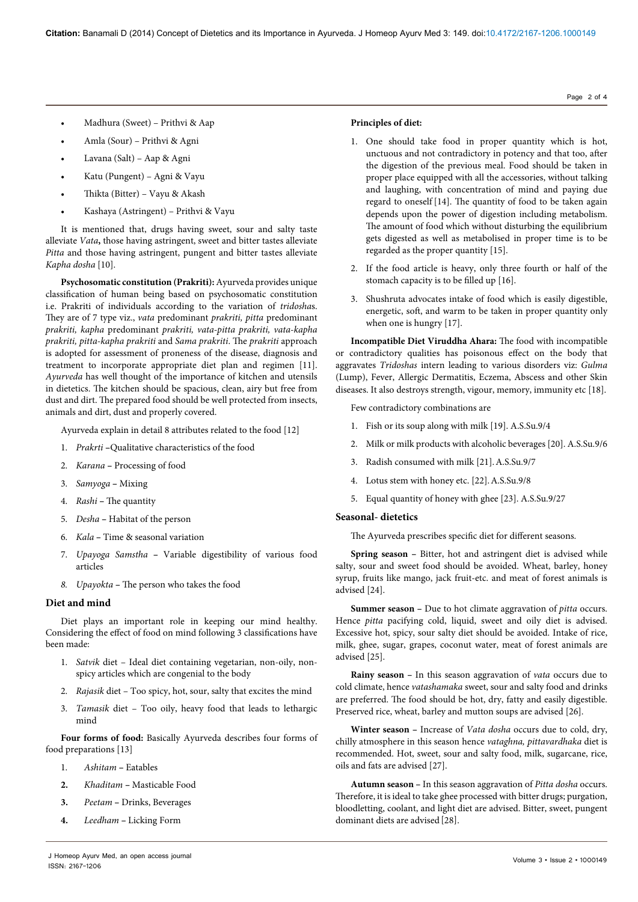- Madhura (Sweet) Prithvi & Aap
- Amla (Sour) Prithvi & Agni
- Lavana (Salt) Aap & Agni
- Katu (Pungent) Agni & Vayu
- Thikta (Bitter) Vayu & Akash
- Kashaya (Astringent) Prithvi & Vayu

It is mentioned that, drugs having sweet, sour and salty taste alleviate *Vata***,** those having astringent, sweet and bitter tastes alleviate *Pitta* and those having astringent, pungent and bitter tastes alleviate *Kapha dosha* [10].

**Psychosomatic constitution (Prakriti):** Ayurveda provides unique classification of human being based on psychosomatic constitution i.e. Prakriti of individuals according to the variation of *tridosha*s. They are of 7 type viz., *vata* predominant *prakriti, pitta* predominant *prakriti, kapha* predominant *prakriti, vata-pitta prakriti, vata-kapha prakriti, pitta-kapha prakriti* and *Sama prakriti*. The *prakriti* approach is adopted for assessment of proneness of the disease, diagnosis and treatment to incorporate appropriate diet plan and regimen [11]. *Ayurveda* has well thought of the importance of kitchen and utensils in dietetics. The kitchen should be spacious, clean, airy but free from dust and dirt. The prepared food should be well protected from insects, animals and dirt, dust and properly covered.

Ayurveda explain in detail 8 attributes related to the food [12]

- 1. *Prakrti* **–**Qualitative characteristics of the food
- 2. *Karana* Processing of food
- 3. *Samyoga*Mixing
- 4. *Rashi* The quantity
- 5. *Desha* Habitat of the person
- 6. *Kala*Time & seasonal variation
- 7. *Upayoga Samstha*Variable digestibility of various food articles
- *8. Upayokta* The person who takes the food

#### **Diet and mind**

Diet plays an important role in keeping our mind healthy. Considering the effect of food on mind following 3 classifications have been made:

- 1. *Satvik* diet Ideal diet containing vegetarian, non-oily, nonspicy articles which are congenial to the body
- 2. *Rajasik* diet Too spicy, hot, sour, salty that excites the mind
- 3. *Tamasik* diet Too oily, heavy food that leads to lethargic mind

**Four forms of food:** Basically Ayurveda describes four forms of food preparations [13]

- 1. *Ashitam* Eatables
- **2.** *Khaditam* Masticable Food
- **3.** *Peetam*Drinks, Beverages
- **4.** *Leedham*Licking Form

## **Principles of diet:**

- 1. One should take food in proper quantity which is hot, unctuous and not contradictory in potency and that too, after the digestion of the previous meal. Food should be taken in proper place equipped with all the accessories, without talking and laughing, with concentration of mind and paying due regard to oneself [14]. The quantity of food to be taken again depends upon the power of digestion including metabolism. The amount of food which without disturbing the equilibrium gets digested as well as metabolised in proper time is to be regarded as the proper quantity [15].
- 2. If the food article is heavy, only three fourth or half of the stomach capacity is to be filled up [16].
- 3. Shushruta advocates intake of food which is easily digestible, energetic, soft, and warm to be taken in proper quantity only when one is hungry [17].

**Incompatible Diet Viruddha Ahara:** The food with incompatible or contradictory qualities has poisonous effect on the body that aggravates *Tridoshas* intern leading to various disorders viz: *Gulma* (Lump), Fever, Allergic Dermatitis, Eczema, Abscess and other Skin diseases. It also destroys strength, vigour, memory, immunity etc [18].

Few contradictory combinations are

- 1. Fish or its soup along with milk [19]. A.S.Su.9/4
- 2. Milk or milk products with alcoholic beverages [20]. A.S.Su.9/6
- 3. Radish consumed with milk [21].A.S.Su.9/7
- 4. Lotus stem with honey etc. [22].A.S.Su.9/8
- 5. Equal quantity of honey with ghee [23]. A.S.Su.9/27

### **Seasonal- dietetics**

The Ayurveda prescribes specific diet for different seasons.

**Spring season –** Bitter, hot and astringent diet is advised while salty, sour and sweet food should be avoided. Wheat, barley, honey syrup, fruits like mango, jack fruit-etc. and meat of forest animals is advised [24].

**Summer season –** Due to hot climate aggravation of *pitta* occurs. Hence *pitta* pacifying cold, liquid, sweet and oily diet is advised. Excessive hot, spicy, sour salty diet should be avoided. Intake of rice, milk, ghee, sugar, grapes, coconut water, meat of forest animals are advised [25].

**Rainy season –** In this season aggravation of *vata* occurs due to cold climate, hence *vatashamaka* sweet, sour and salty food and drinks are preferred. The food should be hot, dry, fatty and easily digestible. Preserved rice, wheat, barley and mutton soups are advised [26].

**Winter season –** Increase of *Vata dosha* occurs due to cold, dry, chilly atmosphere in this season hence *vataghna, pittavardhaka* diet is recommended. Hot, sweet, sour and salty food, milk, sugarcane, rice, oils and fats are advised [27].

**Autumn season –** In this season aggravation of *Pitta dosha* occurs. Therefore, it is ideal to take ghee processed with bitter drugs; purgation, bloodletting, coolant, and light diet are advised. Bitter, sweet, pungent dominant diets are advised [28].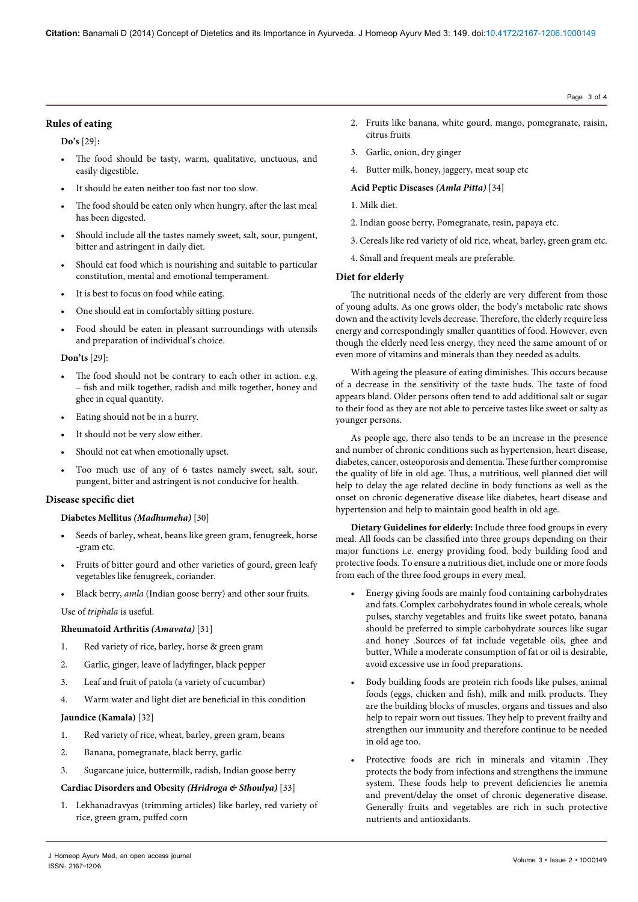# **Rules of eating**

**Do's** [29]**:**

- The food should be tasty, warm, qualitative, unctuous, and easily digestible.
- It should be eaten neither too fast nor too slow.
- The food should be eaten only when hungry, after the last meal has been digested.
- Should include all the tastes namely sweet, salt, sour, pungent, bitter and astringent in daily diet.
- Should eat food which is nourishing and suitable to particular constitution, mental and emotional temperament.
- It is best to focus on food while eating.
- One should eat in comfortably sitting posture.
- Food should be eaten in pleasant surroundings with utensils and preparation of individual's choice.

## **Don'ts** [29]:

- The food should not be contrary to each other in action, e.g. – fish and milk together, radish and milk together, honey and ghee in equal quantity.
- Eating should not be in a hurry.
- It should not be very slow either.
- Should not eat when emotionally upset.
- Too much use of any of 6 tastes namely sweet, salt, sour, pungent, bitter and astringent is not conducive for health.

## **Disease specific diet**

#### **Diabetes Mellitus** *(Madhumeha)* [30]

- Seeds of barley, wheat, beans like green gram, fenugreek, horse -gram etc.
- Fruits of bitter gourd and other varieties of gourd, green leafy vegetables like fenugreek, coriander.
- Black berry, *amla* (Indian goose berry) and other sour fruits.

Use of *triphala* is useful.

## **Rheumatoid Arthritis** *(Amavata)* [31]

- 1. Red variety of rice, barley, horse & green gram
- 2. Garlic, ginger, leave of ladyfinger, black pepper
- 3. Leaf and fruit of patola (a variety of cucumbar)
- 4. Warm water and light diet are beneficial in this condition

#### **Jaundice (Kamala)** [32]

- 1. Red variety of rice, wheat, barley, green gram, beans
- 2. Banana, pomegranate, black berry, garlic
- 3. Sugarcane juice, buttermilk, radish, Indian goose berry

#### **Cardiac Disorders and Obesity** *(Hridroga & Sthoulya)* [33]

1. Lekhanadravyas (trimming articles) like barley, red variety of rice, green gram, puffed corn

- 2. Fruits like banana, white gourd, mango, pomegranate, raisin, citrus fruits
- 3. Garlic, onion, dry ginger
- 4. Butter milk, honey, jaggery, meat soup etc

#### **Acid Peptic Diseases** *(Amla Pitta)* [34]

- 1. Milk diet.
- 2. Indian goose berry, Pomegranate, resin, papaya etc.
- 3. Cereals like red variety of old rice, wheat, barley, green gram etc.
- 4. Small and frequent meals are preferable.

## **Diet for elderly**

The nutritional needs of the elderly are very different from those of young adults. As one grows older, the body's metabolic rate shows down and the activity levels decrease. Therefore, the elderly require less energy and correspondingly smaller quantities of food. However, even though the elderly need less energy, they need the same amount of or even more of vitamins and minerals than they needed as adults.

With ageing the pleasure of eating diminishes. This occurs because of a decrease in the sensitivity of the taste buds. The taste of food appears bland. Older persons often tend to add additional salt or sugar to their food as they are not able to perceive tastes like sweet or salty as younger persons.

As people age, there also tends to be an increase in the presence and number of chronic conditions such as hypertension, heart disease, diabetes, cancer, osteoporosis and dementia. These further compromise the quality of life in old age. Thus, a nutritious, well planned diet will help to delay the age related decline in body functions as well as the onset on chronic degenerative disease like diabetes, heart disease and hypertension and help to maintain good health in old age.

**Dietary Guidelines for elderly:** Include three food groups in every meal. All foods can be classified into three groups depending on their major functions i.e. energy providing food, body building food and protective foods. To ensure a nutritious diet, include one or more foods from each of the three food groups in every meal.

- Energy giving foods are mainly food containing carbohydrates and fats. Complex carbohydrates found in whole cereals, whole pulses, starchy vegetables and fruits like sweet potato, banana should be preferred to simple carbohydrate sources like sugar and honey .Sources of fat include vegetable oils, ghee and butter, While a moderate consumption of fat or oil is desirable, avoid excessive use in food preparations.
- Body building foods are protein rich foods like pulses, animal foods (eggs, chicken and fish), milk and milk products. They are the building blocks of muscles, organs and tissues and also help to repair worn out tissues. They help to prevent frailty and strengthen our immunity and therefore continue to be needed in old age too.
- Protective foods are rich in minerals and vitamin .They protects the body from infections and strengthens the immune system. These foods help to prevent deficiencies lie anemia and prevent/delay the onset of chronic degenerative disease. Generally fruits and vegetables are rich in such protective nutrients and antioxidants.